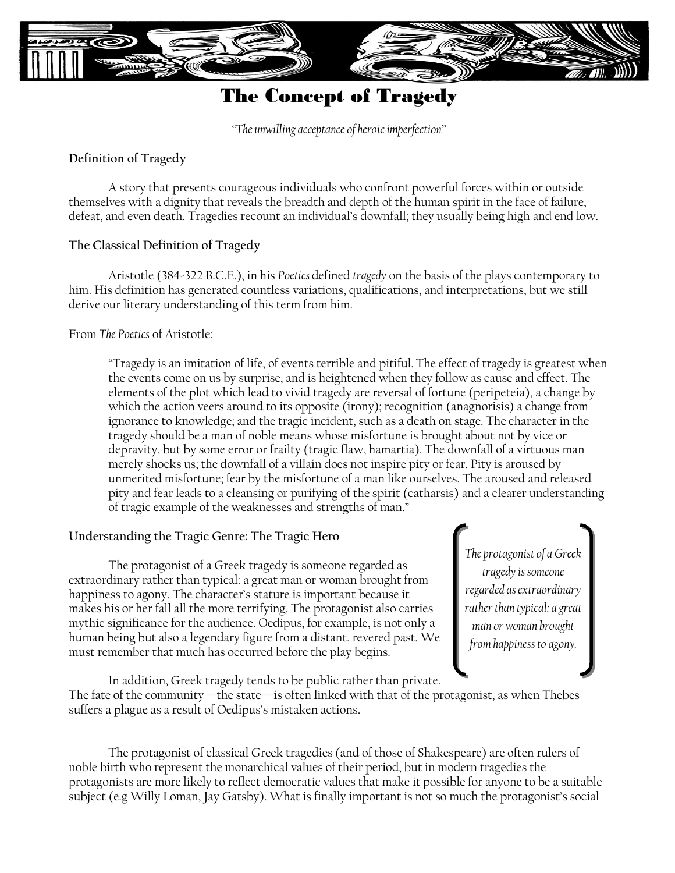

# The Concept of Tragedy

*"The unwilling acceptance of heroic imperfection"*

# **Definition of Tragedy**

A story that presents courageous individuals who confront powerful forces within or outside themselves with a dignity that reveals the breadth and depth of the human spirit in the face of failure, defeat, and even death. Tragedies recount an individual's downfall; they usually being high and end low.

# **The Classical Definition of Tragedy**

Aristotle (384-322 B.C.E.), in his *Poetics* defined *tragedy* on the basis of the plays contemporary to him. His definition has generated countless variations, qualifications, and interpretations, but we still derive our literary understanding of this term from him.

# From *The Poetics* of Aristotle:

"Tragedy is an imitation of life, of events terrible and pitiful. The effect of tragedy is greatest when the events come on us by surprise, and is heightened when they follow as cause and effect. The elements of the plot which lead to vivid tragedy are reversal of fortune (peripeteia), a change by which the action veers around to its opposite (irony); recognition (anagnorisis) a change from ignorance to knowledge; and the tragic incident, such as a death on stage. The character in the tragedy should be a man of noble means whose misfortune is brought about not by vice or depravity, but by some error or frailty (tragic flaw, hamartia). The downfall of a virtuous man merely shocks us; the downfall of a villain does not inspire pity or fear. Pity is aroused by unmerited misfortune; fear by the misfortune of a man like ourselves. The aroused and released pity and fear leads to a cleansing or purifying of the spirit (catharsis) and a clearer understanding of tragic example of the weaknesses and strengths of man."

# **Understanding the Tragic Genre: The Tragic Hero**

The protagonist of a Greek tragedy is someone regarded as extraordinary rather than typical: a great man or woman brought from happiness to agony. The character's stature is important because it makes his or her fall all the more terrifying. The protagonist also carries mythic significance for the audience. Oedipus, for example, is not only a human being but also a legendary figure from a distant, revered past. We must remember that much has occurred before the play begins.

*The protagonist of a Greek tragedy is someone regarded as extraordinary rather than typical: a great man or woman brought from happiness to agony.*

In addition, Greek tragedy tends to be public rather than private. The fate of the community—the state—is often linked with that of the protagonist, as when Thebes suffers a plague as a result of Oedipus's mistaken actions.

The protagonist of classical Greek tragedies (and of those of Shakespeare) are often rulers of noble birth who represent the monarchical values of their period, but in modern tragedies the protagonists are more likely to reflect democratic values that make it possible for anyone to be a suitable subject (e.g Willy Loman, Jay Gatsby). What is finally important is not so much the protagonist's social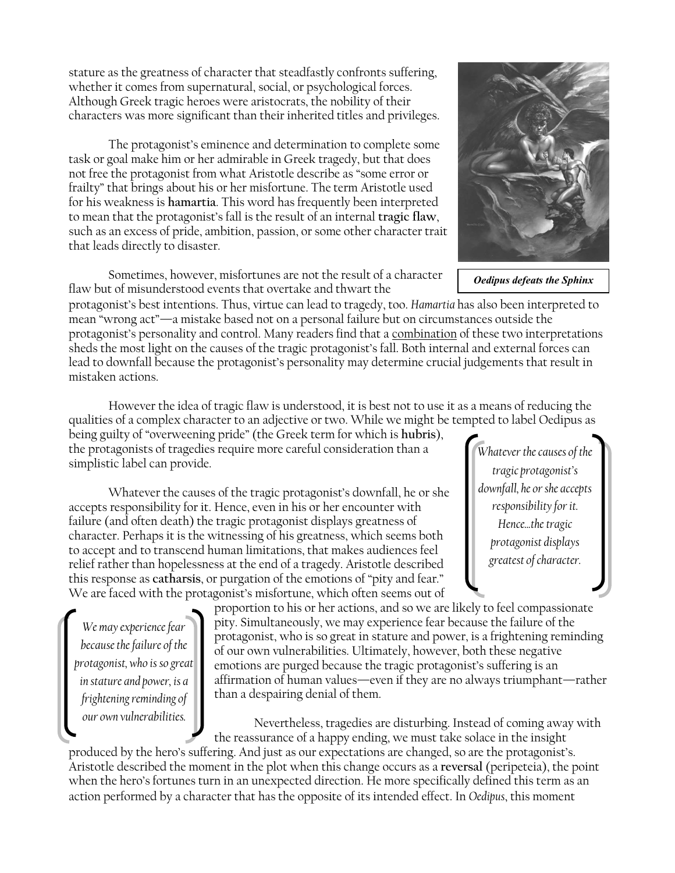stature as the greatness of character that steadfastly confronts suffering, whether it comes from supernatural, social, or psychological forces. Although Greek tragic heroes were aristocrats, the nobility of their characters was more significant than their inherited titles and privileges.

The protagonist's eminence and determination to complete some task or goal make him or her admirable in Greek tragedy, but that does not free the protagonist from what Aristotle describe as "some error or frailty" that brings about his or her misfortune. The term Aristotle used for his weakness is **hamartia**. This word has frequently been interpreted to mean that the protagonist's fall is the result of an internal **tragic flaw**, such as an excess of pride, ambition, passion, or some other character trait that leads directly to disaster.

Sometimes, however, misfortunes are not the result of a character flaw but of misunderstood events that overtake and thwart the

protagonist's best intentions. Thus, virtue can lead to tragedy, too. *Hamartia* has also been interpreted to mean "wrong act"—a mistake based not on a personal failure but on circumstances outside the protagonist's personality and control. Many readers find that a combination of these two interpretations sheds the most light on the causes of the tragic protagonist's fall. Both internal and external forces can lead to downfall because the protagonist's personality may determine crucial judgements that result in mistaken actions.

However the idea of tragic flaw is understood, it is best not to use it as a means of reducing the qualities of a complex character to an adjective or two. While we might be tempted to label Oedipus as

being guilty of "overweening pride" (the Greek term for which is **hubris**), the protagonists of tragedies require more careful consideration than a simplistic label can provide.

Whatever the causes of the tragic protagonist's downfall, he or she accepts responsibility for it. Hence, even in his or her encounter with failure (and often death) the tragic protagonist displays greatness of character. Perhaps it is the witnessing of his greatness, which seems both to accept and to transcend human limitations, that makes audiences feel relief rather than hopelessness at the end of a tragedy. Aristotle described this response as **catharsis**, or purgation of the emotions of "pity and fear." We are faced with the protagonist's misfortune, which often seems out of

*We may experience fear because the failure of the protagonist, who is so great in stature and power, is a frightening reminding of our own vulnerabilities.*

proportion to his or her actions, and so we are likely to feel compassionate pity. Simultaneously, we may experience fear because the failure of the protagonist, who is so great in stature and power, is a frightening reminding of our own vulnerabilities. Ultimately, however, both these negative emotions are purged because the tragic protagonist's suffering is an affirmation of human values—even if they are no always triumphant—rather than a despairing denial of them.

Nevertheless, tragedies are disturbing. Instead of coming away with the reassurance of a happy ending, we must take solace in the insight

produced by the hero's suffering. And just as our expectations are changed, so are the protagonist's. Aristotle described the moment in the plot when this change occurs as a **reversal** (peripeteia), the point when the hero's fortunes turn in an unexpected direction. He more specifically defined this term as an action performed by a character that has the opposite of its intended effect. In *Oedipus*, this moment

*Oedipus defeats the Sphinx*



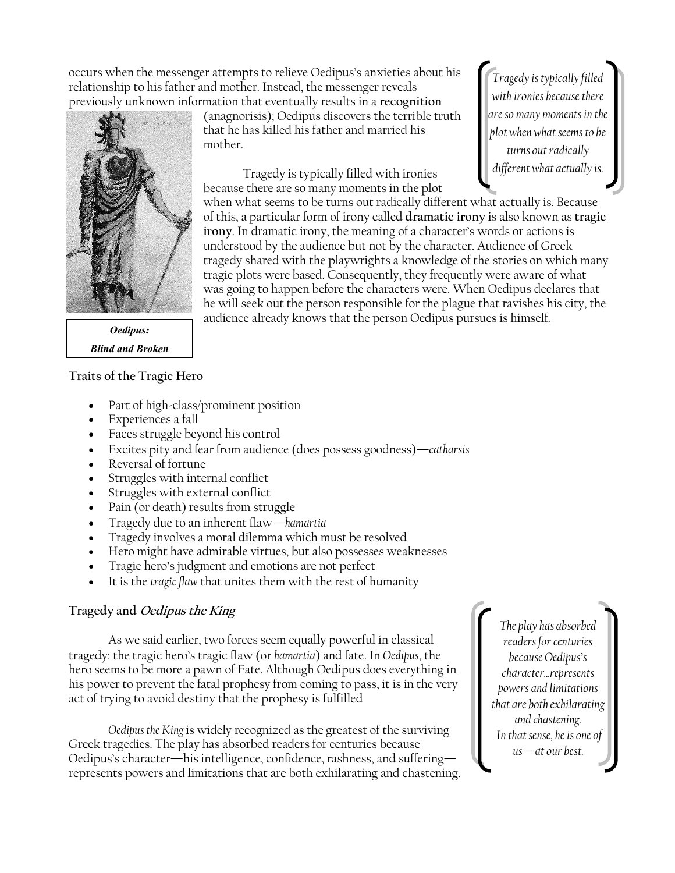occurs when the messenger attempts to relieve Oedipus's anxieties about his relationship to his father and mother. Instead, the messenger reveals previously unknown information that eventually results in a **recognition** 

mother.

that he has killed his father and married his

Tragedy is typically filled with ironies



*Oedipus: Blind and Broken*

#### **Traits of the Tragic Hero**

- Part of high-class/prominent position
- Experiences a fall
- Faces struggle beyond his control
- Excites pity and fear from audience (does possess goodness)—*catharsis*
- Reversal of fortune
- Struggles with internal conflict
- Struggles with external conflict
- Pain (or death) results from struggle
- Tragedy due to an inherent flaw—*hamartia*
- Tragedy involves a moral dilemma which must be resolved
- Hero might have admirable virtues, but also possesses weaknesses
- Tragic hero's judgment and emotions are not perfect
- It is the *tragic flaw* that unites them with the rest of humanity

#### **Tragedy and Oedipus the King**

As we said earlier, two forces seem equally powerful in classical tragedy: the tragic hero's tragic flaw (or *hamartia*) and fate. In *Oedipus*, the hero seems to be more a pawn of Fate. Although Oedipus does everything in his power to prevent the fatal prophesy from coming to pass, it is in the very act of trying to avoid destiny that the prophesy is fulfilled

*Oedipus the King* is widely recognized as the greatest of the surviving Greek tragedies. The play has absorbed readers for centuries because Oedipus's character—his intelligence, confidence, rashness, and suffering represents powers and limitations that are both exhilarating and chastening.

*The play has absorbed readers for centuries because Oedipus's character...represents powers and limitations that are both exhilarating and chastening. In that sense, he is one of us—at our best.*

(anagnorisis); Oedipus discovers the terrible truth *Tragedy is typically filled with ironies because there are so many moments in the plot when what seems to be turns out radically different what actually is.*

because there are so many moments in the plot when what seems to be turns out radically different what actually is. Because of this, a particular form of irony called **dramatic irony** is also known as **tragic irony**. In dramatic irony, the meaning of a character's words or actions is understood by the audience but not by the character. Audience of Greek tragedy shared with the playwrights a knowledge of the stories on which many tragic plots were based. Consequently, they frequently were aware of what was going to happen before the characters were. When Oedipus declares that he will seek out the person responsible for the plague that ravishes his city, the audience already knows that the person Oedipus pursues is himself.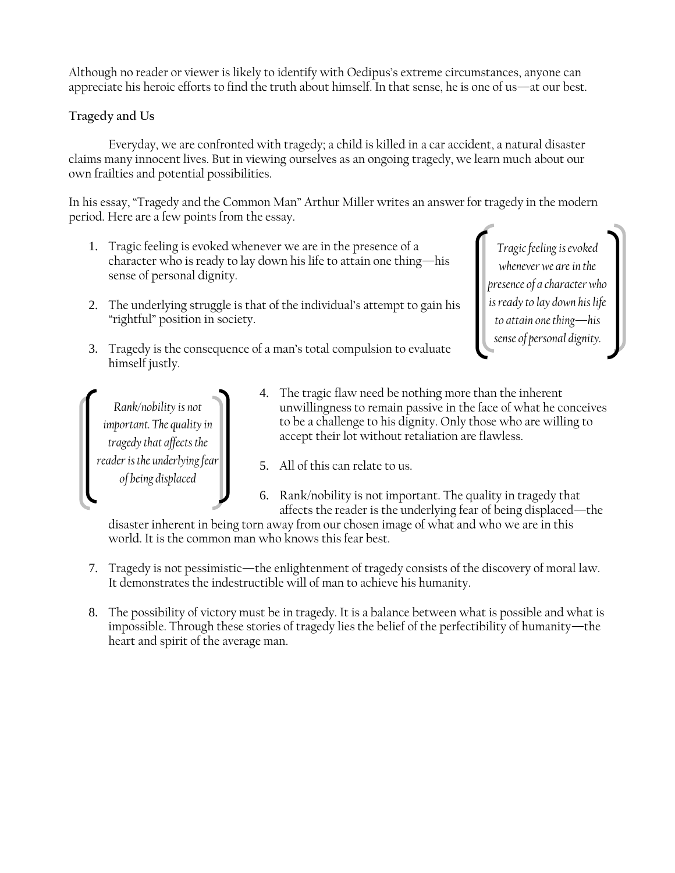Although no reader or viewer is likely to identify with Oedipus's extreme circumstances, anyone can appreciate his heroic efforts to find the truth about himself. In that sense, he is one of us—at our best.

# **Tragedy and Us**

Everyday, we are confronted with tragedy; a child is killed in a car accident, a natural disaster claims many innocent lives. But in viewing ourselves as an ongoing tragedy, we learn much about our own frailties and potential possibilities.

In his essay, "Tragedy and the Common Man" Arthur Miller writes an answer for tragedy in the modern period. Here are a few points from the essay.

- 1. Tragic feeling is evoked whenever we are in the presence of a character who is ready to lay down his life to attain one thing—his sense of personal dignity.
- 2. The underlying struggle is that of the individual's attempt to gain his "rightful" position in society.

*Tragic feeling is evoked whenever we are in the presence of a character who is ready to lay down his life to attain one thing—his sense of personal dignity.*

3. Tragedy is the consequence of a man's total compulsion to evaluate himself justly.

*Rank/nobility is not important. The quality in tragedy that affects the reader is the underlying fear of being displaced*

- 4. The tragic flaw need be nothing more than the inherent unwillingness to remain passive in the face of what he conceives to be a challenge to his dignity. Only those who are willing to accept their lot without retaliation are flawless.
- 5. All of this can relate to us.
- 6. Rank/nobility is not important. The quality in tragedy that affects the reader is the underlying fear of being displaced—the

disaster inherent in being torn away from our chosen image of what and who we are in this world. It is the common man who knows this fear best.

- 7. Tragedy is not pessimistic—the enlightenment of tragedy consists of the discovery of moral law. It demonstrates the indestructible will of man to achieve his humanity.
- 8. The possibility of victory must be in tragedy. It is a balance between what is possible and what is impossible. Through these stories of tragedy lies the belief of the perfectibility of humanity—the heart and spirit of the average man.